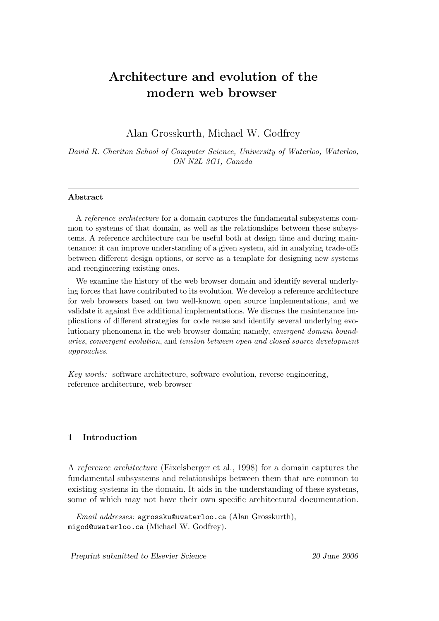# Architecture and evolution of the modern web browser

Alan Grosskurth, Michael W. Godfrey

David R. Cheriton School of Computer Science, University of Waterloo, Waterloo, ON N2L 3G1, Canada

### Abstract

A reference architecture for a domain captures the fundamental subsystems common to systems of that domain, as well as the relationships between these subsystems. A reference architecture can be useful both at design time and during maintenance: it can improve understanding of a given system, aid in analyzing trade-offs between different design options, or serve as a template for designing new systems and reengineering existing ones.

We examine the history of the web browser domain and identify several underlying forces that have contributed to its evolution. We develop a reference architecture for web browsers based on two well-known open source implementations, and we validate it against five additional implementations. We discuss the maintenance implications of different strategies for code reuse and identify several underlying evolutionary phenomena in the web browser domain; namely, emergent domain boundaries, convergent evolution, and tension between open and closed source development approaches.

Key words: software architecture, software evolution, reverse engineering, reference architecture, web browser

# 1 Introduction

A reference architecture (Eixelsberger et al., 1998) for a domain captures the fundamental subsystems and relationships between them that are common to existing systems in the domain. It aids in the understanding of these systems, some of which may not have their own specific architectural documentation.

Email addresses: agrossku@uwaterloo.ca (Alan Grosskurth), migod@uwaterloo.ca (Michael W. Godfrey).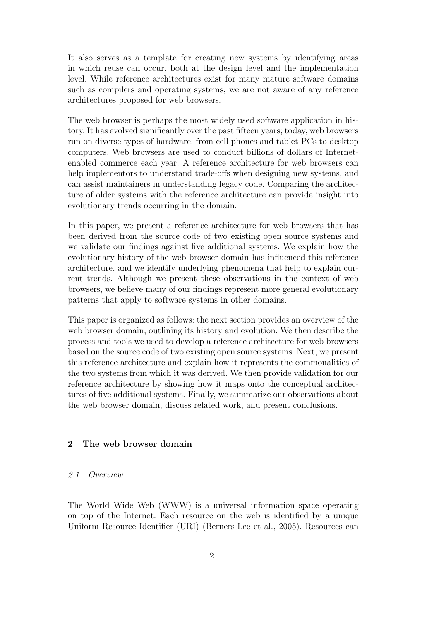It also serves as a template for creating new systems by identifying areas in which reuse can occur, both at the design level and the implementation level. While reference architectures exist for many mature software domains such as compilers and operating systems, we are not aware of any reference architectures proposed for web browsers.

The web browser is perhaps the most widely used software application in history. It has evolved significantly over the past fifteen years; today, web browsers run on diverse types of hardware, from cell phones and tablet PCs to desktop computers. Web browsers are used to conduct billions of dollars of Internetenabled commerce each year. A reference architecture for web browsers can help implementors to understand trade-offs when designing new systems, and can assist maintainers in understanding legacy code. Comparing the architecture of older systems with the reference architecture can provide insight into evolutionary trends occurring in the domain.

In this paper, we present a reference architecture for web browsers that has been derived from the source code of two existing open source systems and we validate our findings against five additional systems. We explain how the evolutionary history of the web browser domain has influenced this reference architecture, and we identify underlying phenomena that help to explain current trends. Although we present these observations in the context of web browsers, we believe many of our findings represent more general evolutionary patterns that apply to software systems in other domains.

This paper is organized as follows: the next section provides an overview of the web browser domain, outlining its history and evolution. We then describe the process and tools we used to develop a reference architecture for web browsers based on the source code of two existing open source systems. Next, we present this reference architecture and explain how it represents the commonalities of the two systems from which it was derived. We then provide validation for our reference architecture by showing how it maps onto the conceptual architectures of five additional systems. Finally, we summarize our observations about the web browser domain, discuss related work, and present conclusions.

### 2 The web browser domain

### 2.1 Overview

The World Wide Web (WWW) is a universal information space operating on top of the Internet. Each resource on the web is identified by a unique Uniform Resource Identifier (URI) (Berners-Lee et al., 2005). Resources can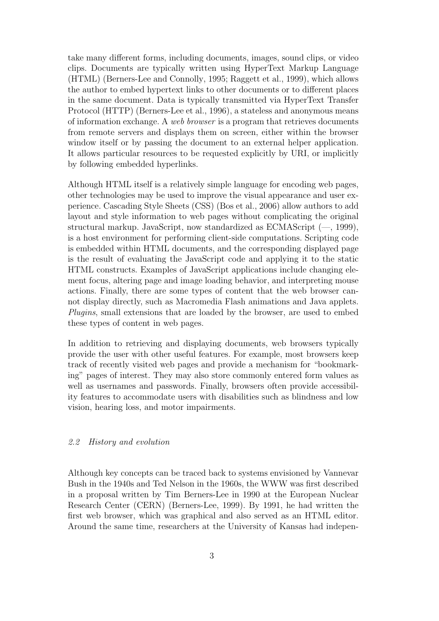take many different forms, including documents, images, sound clips, or video clips. Documents are typically written using HyperText Markup Language (HTML) (Berners-Lee and Connolly, 1995; Raggett et al., 1999), which allows the author to embed hypertext links to other documents or to different places in the same document. Data is typically transmitted via HyperText Transfer Protocol (HTTP) (Berners-Lee et al., 1996), a stateless and anonymous means of information exchange. A web browser is a program that retrieves documents from remote servers and displays them on screen, either within the browser window itself or by passing the document to an external helper application. It allows particular resources to be requested explicitly by URI, or implicitly by following embedded hyperlinks.

Although HTML itself is a relatively simple language for encoding web pages, other technologies may be used to improve the visual appearance and user experience. Cascading Style Sheets (CSS) (Bos et al., 2006) allow authors to add layout and style information to web pages without complicating the original structural markup. JavaScript, now standardized as ECMAScript (—, 1999), is a host environment for performing client-side computations. Scripting code is embedded within HTML documents, and the corresponding displayed page is the result of evaluating the JavaScript code and applying it to the static HTML constructs. Examples of JavaScript applications include changing element focus, altering page and image loading behavior, and interpreting mouse actions. Finally, there are some types of content that the web browser cannot display directly, such as Macromedia Flash animations and Java applets. Plugins, small extensions that are loaded by the browser, are used to embed these types of content in web pages.

In addition to retrieving and displaying documents, web browsers typically provide the user with other useful features. For example, most browsers keep track of recently visited web pages and provide a mechanism for "bookmarking" pages of interest. They may also store commonly entered form values as well as usernames and passwords. Finally, browsers often provide accessibility features to accommodate users with disabilities such as blindness and low vision, hearing loss, and motor impairments.

### 2.2 History and evolution

Although key concepts can be traced back to systems envisioned by Vannevar Bush in the 1940s and Ted Nelson in the 1960s, the WWW was first described in a proposal written by Tim Berners-Lee in 1990 at the European Nuclear Research Center (CERN) (Berners-Lee, 1999). By 1991, he had written the first web browser, which was graphical and also served as an HTML editor. Around the same time, researchers at the University of Kansas had indepen-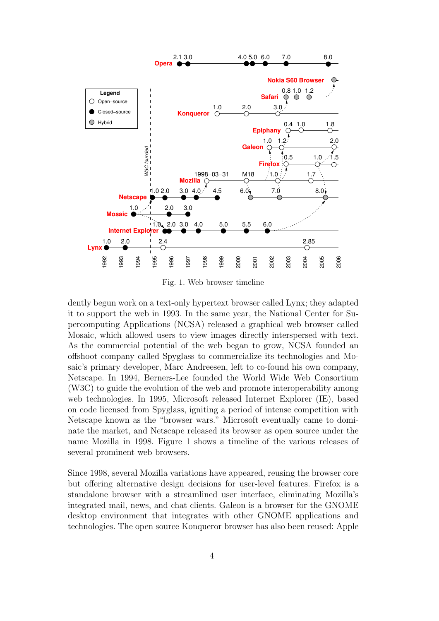

Fig. 1. Web browser timeline

dently begun work on a text-only hypertext browser called Lynx; they adapted it to support the web in 1993. In the same year, the National Center for Supercomputing Applications (NCSA) released a graphical web browser called Mosaic, which allowed users to view images directly interspersed with text. As the commercial potential of the web began to grow, NCSA founded an offshoot company called Spyglass to commercialize its technologies and Mosaic's primary developer, Marc Andreesen, left to co-found his own company, Netscape. In 1994, Berners-Lee founded the World Wide Web Consortium (W3C) to guide the evolution of the web and promote interoperability among web technologies. In 1995, Microsoft released Internet Explorer (IE), based on code licensed from Spyglass, igniting a period of intense competition with Netscape known as the "browser wars." Microsoft eventually came to dominate the market, and Netscape released its browser as open source under the name Mozilla in 1998. Figure 1 shows a timeline of the various releases of several prominent web browsers.

Since 1998, several Mozilla variations have appeared, reusing the browser core but offering alternative design decisions for user-level features. Firefox is a standalone browser with a streamlined user interface, eliminating Mozilla's integrated mail, news, and chat clients. Galeon is a browser for the GNOME desktop environment that integrates with other GNOME applications and technologies. The open source Konqueror browser has also been reused: Apple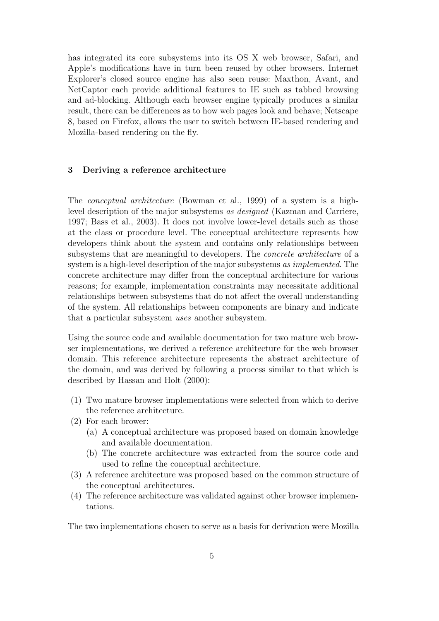has integrated its core subsystems into its OS X web browser, Safari, and Apple's modifications have in turn been reused by other browsers. Internet Explorer's closed source engine has also seen reuse: Maxthon, Avant, and NetCaptor each provide additional features to IE such as tabbed browsing and ad-blocking. Although each browser engine typically produces a similar result, there can be differences as to how web pages look and behave; Netscape 8, based on Firefox, allows the user to switch between IE-based rendering and Mozilla-based rendering on the fly.

### 3 Deriving a reference architecture

The conceptual architecture (Bowman et al., 1999) of a system is a highlevel description of the major subsystems as designed (Kazman and Carriere, 1997; Bass et al., 2003). It does not involve lower-level details such as those at the class or procedure level. The conceptual architecture represents how developers think about the system and contains only relationships between subsystems that are meaningful to developers. The concrete architecture of a system is a high-level description of the major subsystems as *implemented*. The concrete architecture may differ from the conceptual architecture for various reasons; for example, implementation constraints may necessitate additional relationships between subsystems that do not affect the overall understanding of the system. All relationships between components are binary and indicate that a particular subsystem uses another subsystem.

Using the source code and available documentation for two mature web browser implementations, we derived a reference architecture for the web browser domain. This reference architecture represents the abstract architecture of the domain, and was derived by following a process similar to that which is described by Hassan and Holt (2000):

- (1) Two mature browser implementations were selected from which to derive the reference architecture.
- (2) For each brower:
	- (a) A conceptual architecture was proposed based on domain knowledge and available documentation.
	- (b) The concrete architecture was extracted from the source code and used to refine the conceptual architecture.
- (3) A reference architecture was proposed based on the common structure of the conceptual architectures.
- (4) The reference architecture was validated against other browser implementations.

The two implementations chosen to serve as a basis for derivation were Mozilla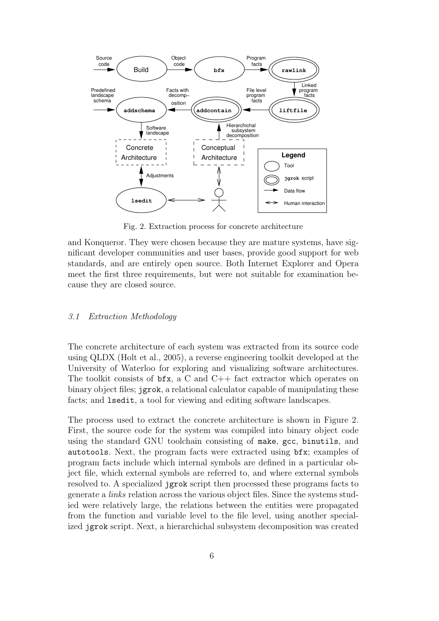

Fig. 2. Extraction process for concrete architecture

and Konqueror. They were chosen because they are mature systems, have significant developer communities and user bases, provide good support for web standards, and are entirely open source. Both Internet Explorer and Opera meet the first three requirements, but were not suitable for examination because they are closed source.

### 3.1 Extraction Methodology

The concrete architecture of each system was extracted from its source code using QLDX (Holt et al., 2005), a reverse engineering toolkit developed at the University of Waterloo for exploring and visualizing software architectures. The toolkit consists of  $bf{x}$ , a C and C++ fact extractor which operates on binary object files; jgrok, a relational calculator capable of manipulating these facts; and lsedit, a tool for viewing and editing software landscapes.

The process used to extract the concrete architecture is shown in Figure 2. First, the source code for the system was compiled into binary object code using the standard GNU toolchain consisting of make, gcc, binutils, and autotools. Next, the program facts were extracted using bfx; examples of program facts include which internal symbols are defined in a particular object file, which external symbols are referred to, and where external symbols resolved to. A specialized jgrok script then processed these programs facts to generate a links relation across the various object files. Since the systems studied were relatively large, the relations between the entities were propagated from the function and variable level to the file level, using another specialized jgrok script. Next, a hierarchichal subsystem decomposition was created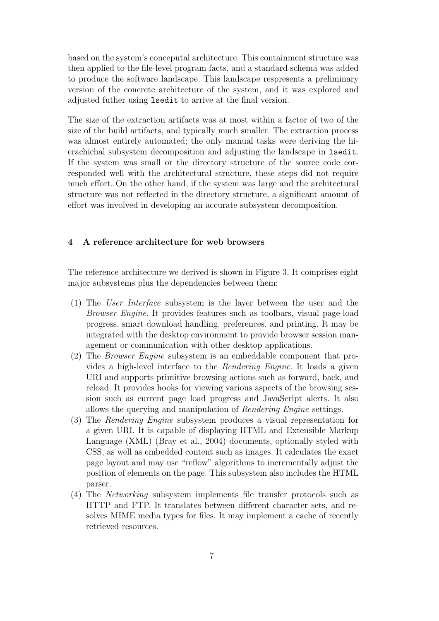based on the system's conceputal architecture. This containment structure was then applied to the file-level program facts, and a standard schema was added to produce the software landscape. This landscape respresents a preliminary version of the concrete architecture of the system, and it was explored and adjusted futher using lsedit to arrive at the final version.

The size of the extraction artifacts was at most within a factor of two of the size of the build artifacts, and typically much smaller. The extraction process was almost entirely automated; the only manual tasks were deriving the hierachichal subsystem decomposition and adjusting the landscape in lsedit. If the system was small or the directory structure of the source code corresponded well with the architectural structure, these steps did not require much effort. On the other hand, if the system was large and the architectural structure was not reflected in the directory structure, a significant amount of effort was involved in developing an accurate subsystem decomposition.

### 4 A reference architecture for web browsers

The reference architecture we derived is shown in Figure 3. It comprises eight major subsystems plus the dependencies between them:

- (1) The User Interface subsystem is the layer between the user and the Browser Engine. It provides features such as toolbars, visual page-load progress, smart download handling, preferences, and printing. It may be integrated with the desktop environment to provide browser session management or communication with other desktop applications.
- (2) The Browser Engine subsystem is an embeddable component that provides a high-level interface to the Rendering Engine. It loads a given URI and supports primitive browsing actions such as forward, back, and reload. It provides hooks for viewing various aspects of the browsing session such as current page load progress and JavaScript alerts. It also allows the querying and manipulation of Rendering Engine settings.
- (3) The Rendering Engine subsystem produces a visual representation for a given URI. It is capable of displaying HTML and Extensible Markup Language (XML) (Bray et al., 2004) documents, optionally styled with CSS, as well as embedded content such as images. It calculates the exact page layout and may use "reflow" algorithms to incrementally adjust the position of elements on the page. This subsystem also includes the HTML parser.
- (4) The Networking subsystem implements file transfer protocols such as HTTP and FTP. It translates between different character sets, and resolves MIME media types for files. It may implement a cache of recently retrieved resources.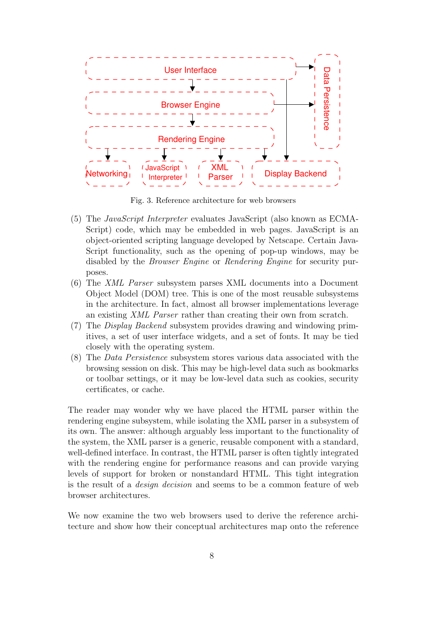

Fig. 3. Reference architecture for web browsers

- (5) The JavaScript Interpreter evaluates JavaScript (also known as ECMA-Script) code, which may be embedded in web pages. JavaScript is an object-oriented scripting language developed by Netscape. Certain Java-Script functionality, such as the opening of pop-up windows, may be disabled by the *Browser Engine* or *Rendering Engine* for security purposes.
- (6) The XML Parser subsystem parses XML documents into a Document Object Model (DOM) tree. This is one of the most reusable subsystems in the architecture. In fact, almost all browser implementations leverage an existing XML Parser rather than creating their own from scratch.
- (7) The Display Backend subsystem provides drawing and windowing primitives, a set of user interface widgets, and a set of fonts. It may be tied closely with the operating system.
- (8) The Data Persistence subsystem stores various data associated with the browsing session on disk. This may be high-level data such as bookmarks or toolbar settings, or it may be low-level data such as cookies, security certificates, or cache.

The reader may wonder why we have placed the HTML parser within the rendering engine subsystem, while isolating the XML parser in a subsystem of its own. The answer: although arguably less important to the functionality of the system, the XML parser is a generic, reusable component with a standard, well-defined interface. In contrast, the HTML parser is often tightly integrated with the rendering engine for performance reasons and can provide varying levels of support for broken or nonstandard HTML. This tight integration is the result of a design decision and seems to be a common feature of web browser architectures.

We now examine the two web browsers used to derive the reference architecture and show how their conceptual architectures map onto the reference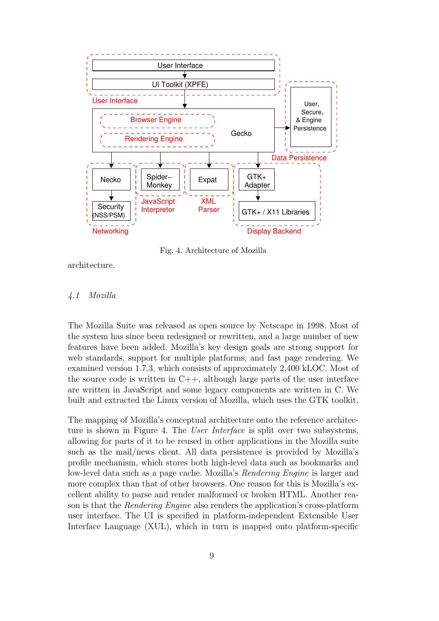

Fig. 4. Architecture of Mozilla

architecture.

### 4.1 Mozilla

The Mozilla Suite was released as open source by Netscape in 1998. Most of the system has since been redesigned or rewritten, and a large number of new features have been added. Mozilla's key design goals are strong support for web standards, support for multiple platforms, and fast page rendering. We examined version 1.7.3, which consists of approximately 2,400 kLOC. Most of the source code is written in  $C_{++}$ , although large parts of the user interface are written in JavaScript and some legacy components are written in C. We built and extracted the Linux version of Mozilla, which uses the GTK toolkit.

The mapping of Mozilla's conceptual architecture onto the reference architecture is shown in Figure 4. The User Interface is split over two subsystems, allowing for parts of it to be reused in other applications in the Mozilla suite such as the mail/news client. All data persistence is provided by Mozilla's profile mechanism, which stores both high-level data such as bookmarks and low-level data such as a page cache. Mozilla's Rendering Engine is larger and more complex than that of other browsers. One reason for this is Mozilla's excellent ability to parse and render malformed or broken HTML. Another reason is that the Rendering Engine also renders the application's cross-platform user interface. The UI is specified in platform-independent Extensible User Interface Language (XUL), which in turn is mapped onto platform-specific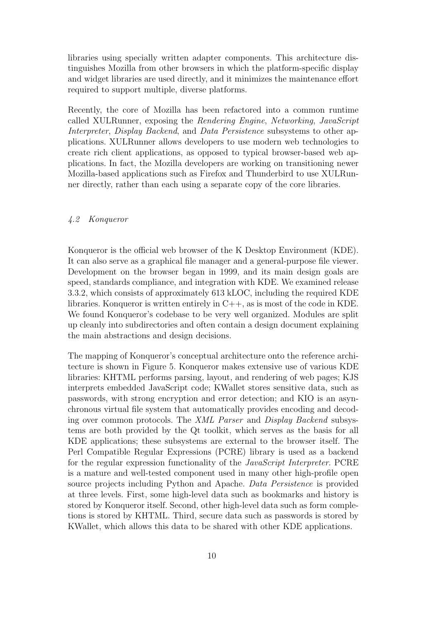libraries using specially written adapter components. This architecture distinguishes Mozilla from other browsers in which the platform-specific display and widget libraries are used directly, and it minimizes the maintenance effort required to support multiple, diverse platforms.

Recently, the core of Mozilla has been refactored into a common runtime called XULRunner, exposing the Rendering Engine, Networking, JavaScript Interpreter, Display Backend, and Data Persistence subsystems to other applications. XULRunner allows developers to use modern web technologies to create rich client applications, as opposed to typical browser-based web applications. In fact, the Mozilla developers are working on transitioning newer Mozilla-based applications such as Firefox and Thunderbird to use XULRunner directly, rather than each using a separate copy of the core libraries.

### 4.2 Konqueror

Konqueror is the official web browser of the K Desktop Environment (KDE). It can also serve as a graphical file manager and a general-purpose file viewer. Development on the browser began in 1999, and its main design goals are speed, standards compliance, and integration with KDE. We examined release 3.3.2, which consists of approximately 613 kLOC, including the required KDE libraries. Konqueror is written entirely in  $C++$ , as is most of the code in KDE. We found Konqueror's codebase to be very well organized. Modules are split up cleanly into subdirectories and often contain a design document explaining the main abstractions and design decisions.

The mapping of Konqueror's conceptual architecture onto the reference architecture is shown in Figure 5. Konqueror makes extensive use of various KDE libraries: KHTML performs parsing, layout, and rendering of web pages; KJS interprets embedded JavaScript code; KWallet stores sensitive data, such as passwords, with strong encryption and error detection; and KIO is an asynchronous virtual file system that automatically provides encoding and decoding over common protocols. The XML Parser and Display Backend subsystems are both provided by the Qt toolkit, which serves as the basis for all KDE applications; these subsystems are external to the browser itself. The Perl Compatible Regular Expressions (PCRE) library is used as a backend for the regular expression functionality of the JavaScript Interpreter. PCRE is a mature and well-tested component used in many other high-profile open source projects including Python and Apache. Data Persistence is provided at three levels. First, some high-level data such as bookmarks and history is stored by Konqueror itself. Second, other high-level data such as form completions is stored by KHTML. Third, secure data such as passwords is stored by KWallet, which allows this data to be shared with other KDE applications.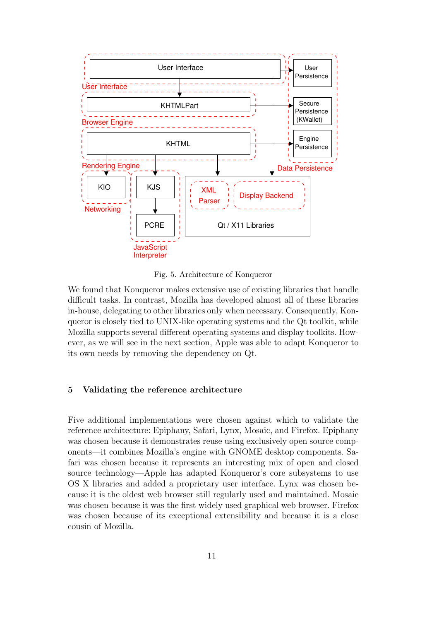

Fig. 5. Architecture of Konqueror

We found that Konqueror makes extensive use of existing libraries that handle difficult tasks. In contrast, Mozilla has developed almost all of these libraries in-house, delegating to other libraries only when necessary. Consequently, Konqueror is closely tied to UNIX-like operating systems and the Qt toolkit, while Mozilla supports several different operating systems and display toolkits. However, as we will see in the next section, Apple was able to adapt Konqueror to its own needs by removing the dependency on Qt.

### 5 Validating the reference architecture

Five additional implementations were chosen against which to validate the reference architecture: Epiphany, Safari, Lynx, Mosaic, and Firefox. Epiphany was chosen because it demonstrates reuse using exclusively open source components—it combines Mozilla's engine with GNOME desktop components. Safari was chosen because it represents an interesting mix of open and closed source technology—Apple has adapted Konqueror's core subsystems to use OS X libraries and added a proprietary user interface. Lynx was chosen because it is the oldest web browser still regularly used and maintained. Mosaic was chosen because it was the first widely used graphical web browser. Firefox was chosen because of its exceptional extensibility and because it is a close cousin of Mozilla.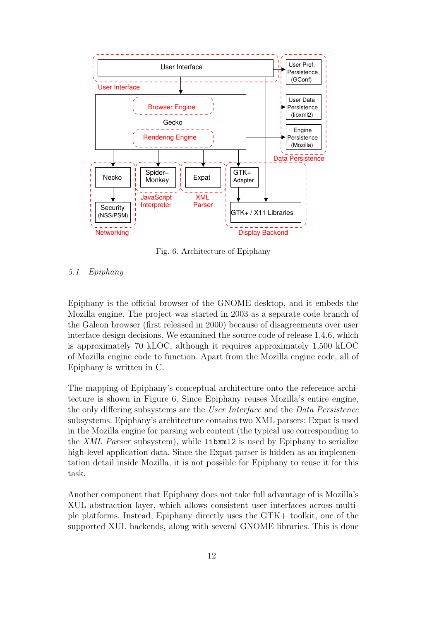

Fig. 6. Architecture of Epiphany

# 5.1 Epiphany

Epiphany is the official browser of the GNOME desktop, and it embeds the Mozilla engine. The project was started in 2003 as a separate code branch of the Galeon browser (first released in 2000) because of disagreements over user interface design decisions. We examined the source code of release 1.4.6, which is approximately 70 kLOC, although it requires approximately 1,500 kLOC of Mozilla engine code to function. Apart from the Mozilla engine code, all of Epiphany is written in C.

The mapping of Epiphany's conceptual architecture onto the reference architecture is shown in Figure 6. Since Epiphany reuses Mozilla's entire engine, the only differing subsystems are the User Interface and the Data Persistence subsystems. Epiphany's architecture contains two XML parsers: Expat is used in the Mozilla engine for parsing web content (the typical use corresponding to the XML Parser subsystem), while libxml2 is used by Epiphany to serialize high-level application data. Since the Expat parser is hidden as an implementation detail inside Mozilla, it is not possible for Epiphany to reuse it for this task.

Another component that Epiphany does not take full advantage of is Mozilla's XUL abstraction layer, which allows consistent user interfaces across multiple platforms. Instead, Epiphany directly uses the GTK+ toolkit, one of the supported XUL backends, along with several GNOME libraries. This is done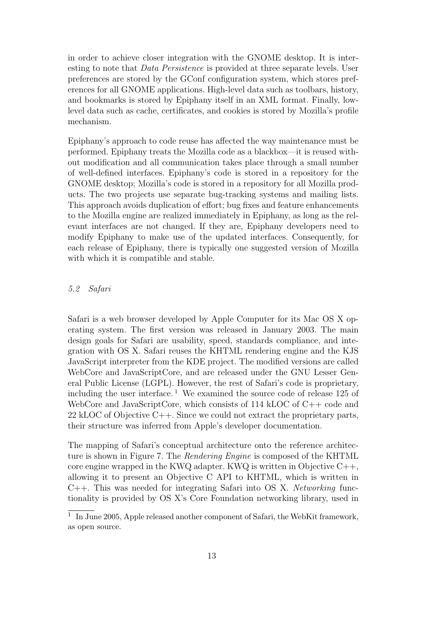in order to achieve closer integration with the GNOME desktop. It is interesting to note that Data Persistence is provided at three separate levels. User preferences are stored by the GConf configuration system, which stores preferences for all GNOME applications. High-level data such as toolbars, history, and bookmarks is stored by Epiphany itself in an XML format. Finally, lowlevel data such as cache, certificates, and cookies is stored by Mozilla's profile mechanism.

Epiphany's approach to code reuse has affected the way maintenance must be performed. Epiphany treats the Mozilla code as a blackbox—it is reused without modification and all communication takes place through a small number of well-defined interfaces. Epiphany's code is stored in a repository for the GNOME desktop; Mozilla's code is stored in a repository for all Mozilla products. The two projects use separate bug-tracking systems and mailing lists. This approach avoids duplication of effort; bug fixes and feature enhancements to the Mozilla engine are realized immediately in Epiphany, as long as the relevant interfaces are not changed. If they are, Epiphany developers need to modify Epiphany to make use of the updated interfaces. Consequently, for each release of Epiphany, there is typically one suggested version of Mozilla with which it is compatible and stable.

# 5.2 Safari

Safari is a web browser developed by Apple Computer for its Mac OS X operating system. The first version was released in January 2003. The main design goals for Safari are usability, speed, standards compliance, and integration with OS X. Safari reuses the KHTML rendering engine and the KJS JavaScript interpreter from the KDE project. The modified versions are called WebCore and JavaScriptCore, and are released under the GNU Lesser General Public License (LGPL). However, the rest of Safari's code is proprietary, including the user interface.<sup>1</sup> We examined the source code of release  $125$  of WebCore and JavaScriptCore, which consists of 114 kLOC of C++ code and 22 kLOC of Objective C++. Since we could not extract the proprietary parts, their structure was inferred from Apple's developer documentation.

The mapping of Safari's conceptual architecture onto the reference architecture is shown in Figure 7. The Rendering Engine is composed of the KHTML core engine wrapped in the KWQ adapter. KWQ is written in Objective C++, allowing it to present an Objective C API to KHTML, which is written in  $C++$ . This was needed for integrating Safari into OS X. Networking functionality is provided by OS X's Core Foundation networking library, used in

<sup>&</sup>lt;sup>1</sup> In June 2005, Apple released another component of Safari, the WebKit framework, as open source.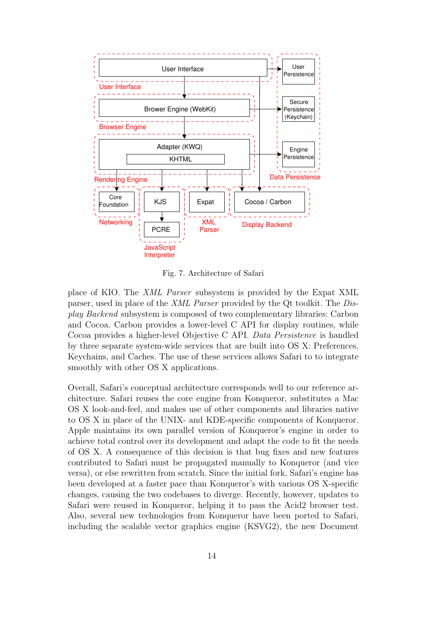

Fig. 7. Architecture of Safari

place of KIO. The XML Parser subsystem is provided by the Expat XML parser, used in place of the XML Parser provided by the Qt toolkit. The Display Backend subsystem is composed of two complementary libraries: Carbon and Cocoa. Carbon provides a lower-level C API for display routines, while Cocoa provides a higher-level Objective C API. Data Persistence is handled by three separate system-wide services that are built into OS X: Preferences, Keychains, and Caches. The use of these services allows Safari to to integrate smoothly with other OS X applications.

Overall, Safari's conceptual architecture corresponds well to our reference architecture. Safari reuses the core engine from Konqueror, substitutes a Mac OS X look-and-feel, and makes use of other components and libraries native to OS X in place of the UNIX- and KDE-specific components of Konqueror. Apple maintains its own parallel version of Konqueror's engine in order to achieve total control over its development and adapt the code to fit the needs of OS X. A consequence of this decision is that bug fixes and new features contributed to Safari must be propagated manually to Konqueror (and vice versa), or else rewritten from scratch. Since the initial fork, Safari's engine has been developed at a faster pace than Konqueror's with various OS X-specific changes, causing the two codebases to diverge. Recently, however, updates to Safari were reused in Konqueror, helping it to pass the Acid2 browser test. Also, several new technologies from Konqueror have been ported to Safari, including the scalable vector graphics engine (KSVG2), the new Document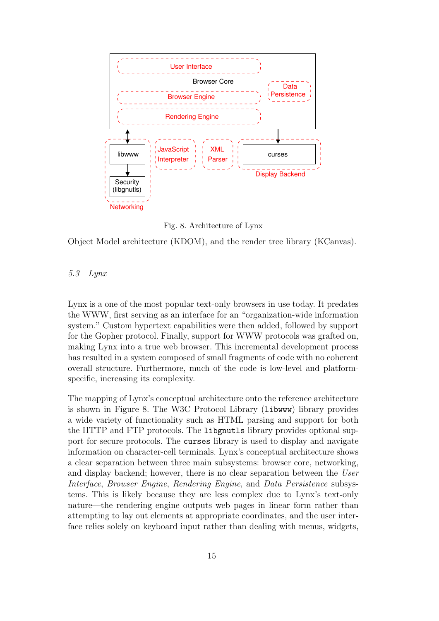

Fig. 8. Architecture of Lynx

Object Model architecture (KDOM), and the render tree library (KCanvas).

### 5.3 Lynx

Lynx is a one of the most popular text-only browsers in use today. It predates the WWW, first serving as an interface for an "organization-wide information system." Custom hypertext capabilities were then added, followed by support for the Gopher protocol. Finally, support for WWW protocols was grafted on, making Lynx into a true web browser. This incremental development process has resulted in a system composed of small fragments of code with no coherent overall structure. Furthermore, much of the code is low-level and platformspecific, increasing its complexity.

The mapping of Lynx's conceptual architecture onto the reference architecture is shown in Figure 8. The W3C Protocol Library (libwww) library provides a wide variety of functionality such as HTML parsing and support for both the HTTP and FTP protocols. The libgnutls library provides optional support for secure protocols. The curses library is used to display and navigate information on character-cell terminals. Lynx's conceptual architecture shows a clear separation between three main subsystems: browser core, networking, and display backend; however, there is no clear separation between the User Interface, Browser Engine, Rendering Engine, and Data Persistence subsystems. This is likely because they are less complex due to Lynx's text-only nature—the rendering engine outputs web pages in linear form rather than attempting to lay out elements at appropriate coordinates, and the user interface relies solely on keyboard input rather than dealing with menus, widgets,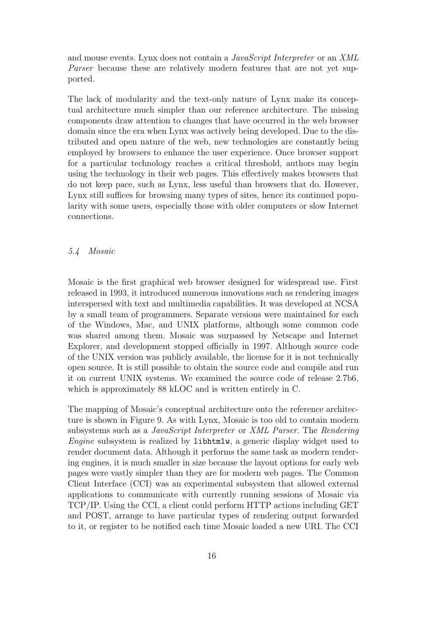and mouse events. Lynx does not contain a *JavaScript Interpreter* or an *XML* Parser because these are relatively modern features that are not yet supported.

The lack of modularity and the text-only nature of Lynx make its conceptual architecture much simpler than our reference architecture. The missing components draw attention to changes that have occurred in the web browser domain since the era when Lynx was actively being developed. Due to the distributed and open nature of the web, new technologies are constantly being employed by browsers to enhance the user experience. Once browser support for a particular technology reaches a critical threshold, authors may begin using the technology in their web pages. This effectively makes browsers that do not keep pace, such as Lynx, less useful than browsers that do. However, Lynx still suffices for browsing many types of sites, hence its continued popularity with some users, especially those with older computers or slow Internet connections.

### 5.4 Mosaic

Mosaic is the first graphical web browser designed for widespread use. First released in 1993, it introduced numerous innovations such as rendering images interspersed with text and multimedia capabilities. It was developed at NCSA by a small team of programmers. Separate versions were maintained for each of the Windows, Mac, and UNIX platforms, although some common code was shared among them. Mosaic was surpassed by Netscape and Internet Explorer, and development stopped officially in 1997. Although source code of the UNIX version was publicly available, the license for it is not technically open source. It is still possible to obtain the source code and compile and run it on current UNIX systems. We examined the source code of release 2.7b6, which is approximately 88 kLOC and is written entirely in C.

The mapping of Mosaic's conceptual architecture onto the reference architecture is shown in Figure 9. As with Lynx, Mosaic is too old to contain modern subsystems such as a JavaScript Interpreter or XML Parser. The Rendering Engine subsystem is realized by libhtmlw, a generic display widget used to render document data. Although it performs the same task as modern rendering engines, it is much smaller in size because the layout options for early web pages were vastly simpler than they are for modern web pages. The Common Client Interface (CCI) was an experimental subsystem that allowed external applications to communicate with currently running sessions of Mosaic via TCP/IP. Using the CCI, a client could perform HTTP actions including GET and POST, arrange to have particular types of rendering output forwarded to it, or register to be notified each time Mosaic loaded a new URI. The CCI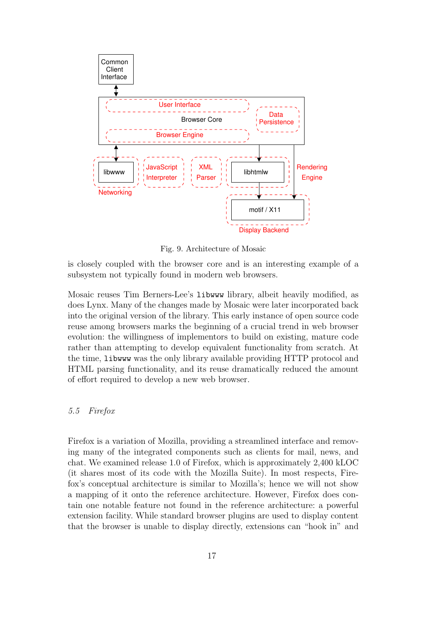

Fig. 9. Architecture of Mosaic

is closely coupled with the browser core and is an interesting example of a subsystem not typically found in modern web browsers.

Mosaic reuses Tim Berners-Lee's libwww library, albeit heavily modified, as does Lynx. Many of the changes made by Mosaic were later incorporated back into the original version of the library. This early instance of open source code reuse among browsers marks the beginning of a crucial trend in web browser evolution: the willingness of implementors to build on existing, mature code rather than attempting to develop equivalent functionality from scratch. At the time, libwww was the only library available providing HTTP protocol and HTML parsing functionality, and its reuse dramatically reduced the amount of effort required to develop a new web browser.

# 5.5 Firefox

Firefox is a variation of Mozilla, providing a streamlined interface and removing many of the integrated components such as clients for mail, news, and chat. We examined release 1.0 of Firefox, which is approximately 2,400 kLOC (it shares most of its code with the Mozilla Suite). In most respects, Firefox's conceptual architecture is similar to Mozilla's; hence we will not show a mapping of it onto the reference architecture. However, Firefox does contain one notable feature not found in the reference architecture: a powerful extension facility. While standard browser plugins are used to display content that the browser is unable to display directly, extensions can "hook in" and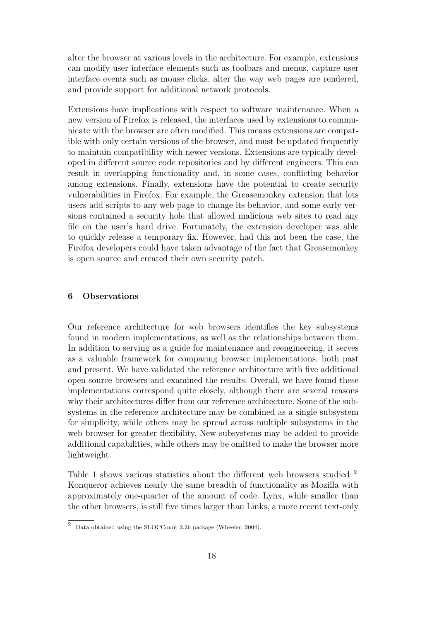alter the browser at various levels in the architecture. For example, extensions can modify user interface elements such as toolbars and menus, capture user interface events such as mouse clicks, alter the way web pages are rendered, and provide support for additional network protocols.

Extensions have implications with respect to software maintenance. When a new version of Firefox is released, the interfaces used by extensions to communicate with the browser are often modified. This means extensions are compatible with only certain versions of the browser, and must be updated frequently to maintain compatibility with newer versions. Extensions are typically developed in different source code repositories and by different engineers. This can result in overlapping functionality and, in some cases, conflicting behavior among extensions. Finally, extensions have the potential to create security vulnerabilities in Firefox. For example, the Greasemonkey extension that lets users add scripts to any web page to change its behavior, and some early versions contained a security hole that allowed malicious web sites to read any file on the user's hard drive. Fortunately, the extension developer was able to quickly release a temporary fix. However, had this not been the case, the Firefox developers could have taken advantage of the fact that Greasemonkey is open source and created their own security patch.

### 6 Observations

Our reference architecture for web browsers identifies the key subsystems found in modern implementations, as well as the relationships between them. In addition to serving as a guide for maintenance and reengineering, it serves as a valuable framework for comparing browser implementations, both past and present. We have validated the reference architecture with five additional open source browsers and examined the results. Overall, we have found these implementations correspond quite closely, although there are several reasons why their architectures differ from our reference architecture. Some of the subsystems in the reference architecture may be combined as a single subsystem for simplicity, while others may be spread across multiple subsystems in the web browser for greater flexibility. New subsystems may be added to provide additional capabilities, while others may be omitted to make the browser more lightweight.

Table 1 shows various statistics about the different web browsers studied. <sup>2</sup> Konqueror achieves nearly the same breadth of functionality as Mozilla with approximately one-quarter of the amount of code. Lynx, while smaller than the other browsers, is still five times larger than Links, a more recent text-only

<sup>2</sup> Data obtained using the SLOCCount 2.26 package (Wheeler, 2004).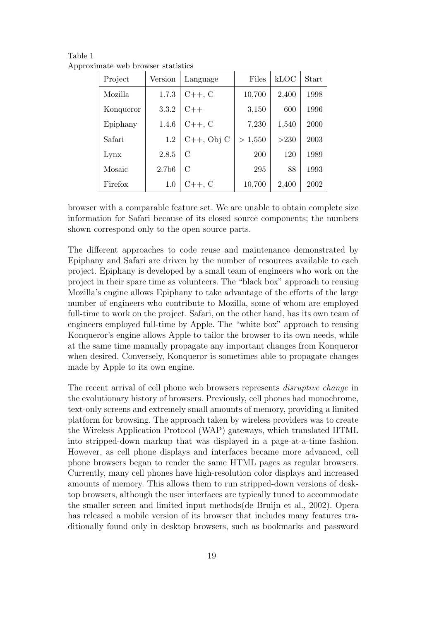| Project   | Version           | Language         | Files   | kLOC  | Start |
|-----------|-------------------|------------------|---------|-------|-------|
| Mozilla.  | 1.7.3             | $C_{++}$ , C     | 10,700  | 2,400 | 1998  |
| Konqueror | 3.3.2             | $C++$            | 3,150   | 600   | 1996  |
| Epiphany  | 1.4.6             | $C++, C$         | 7,230   | 1,540 | 2000  |
| Safari    | 1.2               | $C_{++}$ , Obj C | > 1,550 | >230  | 2003  |
| Lynx      | 2.8.5             | $\mathcal{C}$    | 200     | 120   | 1989  |
| Mosaic    | 2.7 <sub>b6</sub> | $\mathcal{C}$    | 295     | 88    | 1993  |
| Firefox   | 1.0               | $C_{++}$ , C     | 10,700  | 2,400 | 2002  |

Table 1 Approximate web browser statistics

browser with a comparable feature set. We are unable to obtain complete size information for Safari because of its closed source components; the numbers shown correspond only to the open source parts.

The different approaches to code reuse and maintenance demonstrated by Epiphany and Safari are driven by the number of resources available to each project. Epiphany is developed by a small team of engineers who work on the project in their spare time as volunteers. The "black box" approach to reusing Mozilla's engine allows Epiphany to take advantage of the efforts of the large number of engineers who contribute to Mozilla, some of whom are employed full-time to work on the project. Safari, on the other hand, has its own team of engineers employed full-time by Apple. The "white box" approach to reusing Konqueror's engine allows Apple to tailor the browser to its own needs, while at the same time manually propagate any important changes from Konqueror when desired. Conversely, Konqueror is sometimes able to propagate changes made by Apple to its own engine.

The recent arrival of cell phone web browsers represents disruptive change in the evolutionary history of browsers. Previously, cell phones had monochrome, text-only screens and extremely small amounts of memory, providing a limited platform for browsing. The approach taken by wireless providers was to create the Wireless Application Protocol (WAP) gateways, which translated HTML into stripped-down markup that was displayed in a page-at-a-time fashion. However, as cell phone displays and interfaces became more advanced, cell phone browsers began to render the same HTML pages as regular browsers. Currently, many cell phones have high-resolution color displays and increased amounts of memory. This allows them to run stripped-down versions of desktop browsers, although the user interfaces are typically tuned to accommodate the smaller screen and limited input methods(de Bruijn et al., 2002). Opera has released a mobile version of its browser that includes many features traditionally found only in desktop browsers, such as bookmarks and password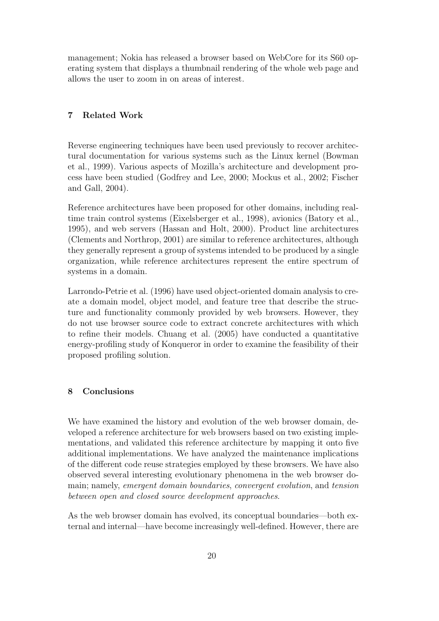management; Nokia has released a browser based on WebCore for its S60 operating system that displays a thumbnail rendering of the whole web page and allows the user to zoom in on areas of interest.

# 7 Related Work

Reverse engineering techniques have been used previously to recover architectural documentation for various systems such as the Linux kernel (Bowman et al., 1999). Various aspects of Mozilla's architecture and development process have been studied (Godfrey and Lee, 2000; Mockus et al., 2002; Fischer and Gall, 2004).

Reference architectures have been proposed for other domains, including realtime train control systems (Eixelsberger et al., 1998), avionics (Batory et al., 1995), and web servers (Hassan and Holt, 2000). Product line architectures (Clements and Northrop, 2001) are similar to reference architectures, although they generally represent a group of systems intended to be produced by a single organization, while reference architectures represent the entire spectrum of systems in a domain.

Larrondo-Petrie et al. (1996) have used object-oriented domain analysis to create a domain model, object model, and feature tree that describe the structure and functionality commonly provided by web browsers. However, they do not use browser source code to extract concrete architectures with which to refine their models. Chuang et al. (2005) have conducted a quantitative energy-profiling study of Konqueror in order to examine the feasibility of their proposed profiling solution.

# 8 Conclusions

We have examined the history and evolution of the web browser domain, developed a reference architecture for web browsers based on two existing implementations, and validated this reference architecture by mapping it onto five additional implementations. We have analyzed the maintenance implications of the different code reuse strategies employed by these browsers. We have also observed several interesting evolutionary phenomena in the web browser domain; namely, emergent domain boundaries, convergent evolution, and tension between open and closed source development approaches.

As the web browser domain has evolved, its conceptual boundaries—both external and internal—have become increasingly well-defined. However, there are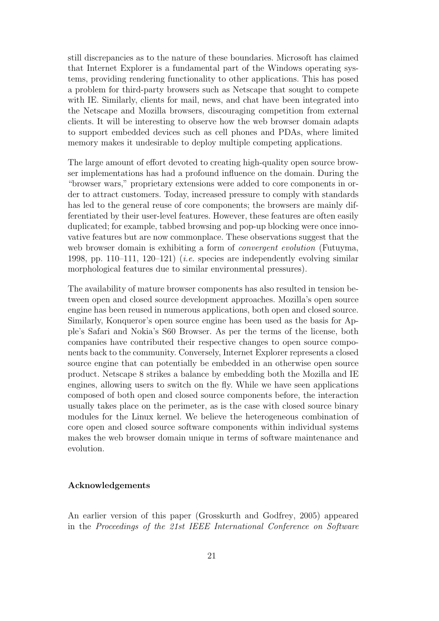still discrepancies as to the nature of these boundaries. Microsoft has claimed that Internet Explorer is a fundamental part of the Windows operating systems, providing rendering functionality to other applications. This has posed a problem for third-party browsers such as Netscape that sought to compete with IE. Similarly, clients for mail, news, and chat have been integrated into the Netscape and Mozilla browsers, discouraging competition from external clients. It will be interesting to observe how the web browser domain adapts to support embedded devices such as cell phones and PDAs, where limited memory makes it undesirable to deploy multiple competing applications.

The large amount of effort devoted to creating high-quality open source browser implementations has had a profound influence on the domain. During the "browser wars," proprietary extensions were added to core components in order to attract customers. Today, increased pressure to comply with standards has led to the general reuse of core components; the browsers are mainly differentiated by their user-level features. However, these features are often easily duplicated; for example, tabbed browsing and pop-up blocking were once innovative features but are now commonplace. These observations suggest that the web browser domain is exhibiting a form of *convergent evolution* (Futuyma, 1998, pp. 110–111, 120–121) (*i.e.* species are independently evolving similar morphological features due to similar environmental pressures).

The availability of mature browser components has also resulted in tension between open and closed source development approaches. Mozilla's open source engine has been reused in numerous applications, both open and closed source. Similarly, Konqueror's open source engine has been used as the basis for Apple's Safari and Nokia's S60 Browser. As per the terms of the license, both companies have contributed their respective changes to open source components back to the community. Conversely, Internet Explorer represents a closed source engine that can potentially be embedded in an otherwise open source product. Netscape 8 strikes a balance by embedding both the Mozilla and IE engines, allowing users to switch on the fly. While we have seen applications composed of both open and closed source components before, the interaction usually takes place on the perimeter, as is the case with closed source binary modules for the Linux kernel. We believe the heterogeneous combination of core open and closed source software components within individual systems makes the web browser domain unique in terms of software maintenance and evolution.

### Acknowledgements

An earlier version of this paper (Grosskurth and Godfrey, 2005) appeared in the Proceedings of the 21st IEEE International Conference on Software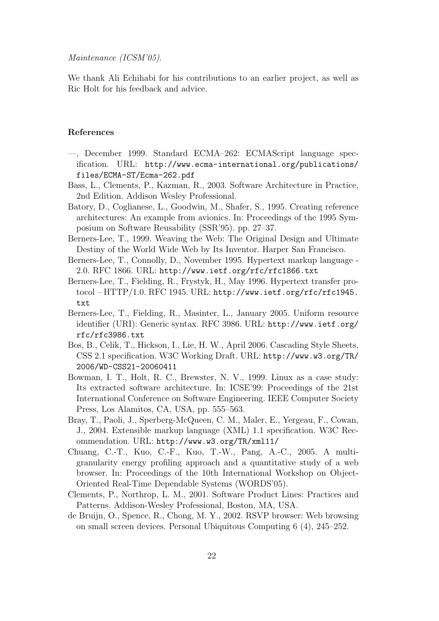Maintenance (ICSM'05).

We thank Ali Echihabi for his contributions to an earlier project, as well as Ric Holt for his feedback and advice.

### References

- —, December 1999. Standard ECMA–262: ECMAScript language specification. URL: http://www.ecma-international.org/publications/ files/ECMA-ST/Ecma-262.pdf
- Bass, L., Clements, P., Kazman, R., 2003. Software Architecture in Practice, 2nd Edition. Addison Wesley Professional.
- Batory, D., Coglianese, L., Goodwin, M., Shafer, S., 1995. Creating reference architectures: An example from avionics. In: Proceedings of the 1995 Symposium on Software Reusability (SSR'95). pp. 27–37.
- Berners-Lee, T., 1999. Weaving the Web: The Original Design and Ultimate Destiny of the World Wide Web by Its Inventor. Harper San Francisco.
- Berners-Lee, T., Connolly, D., November 1995. Hypertext markup language 2.0. RFC 1866. URL: http://www.ietf.org/rfc/rfc1866.txt
- Berners-Lee, T., Fielding, R., Frystyk, H., May 1996. Hypertext transfer protocol – HTTP/1.0. RFC 1945. URL: http://www.ietf.org/rfc/rfc1945. txt
- Berners-Lee, T., Fielding, R., Masinter, L., January 2005. Uniform resource identifier (URI): Generic syntax. RFC 3986. URL: http://www.ietf.org/ rfc/rfc3986.txt
- Bos, B., Celik, T., Hickson, I., Lie, H. W., April 2006. Cascading Style Sheets, CSS 2.1 specification. W3C Working Draft. URL: http://www.w3.org/TR/ 2006/WD-CSS21-20060411
- Bowman, I. T., Holt, R. C., Brewster, N. V., 1999. Linux as a case study: Its extracted software architecture. In: ICSE'99: Proceedings of the 21st International Conference on Software Engineering. IEEE Computer Society Press, Los Alamitos, CA, USA, pp. 555–563.
- Bray, T., Paoli, J., Sperberg-McQueen, C. M., Maler, E., Yergeau, F., Cowan, J., 2004. Extensible markup language (XML) 1.1 specification. W3C Recommendation. URL: http://www.w3.org/TR/xml11/
- Chuang, C.-T., Kuo, C.-F., Kuo, T.-W., Pang, A.-C., 2005. A multigranularity energy profiling approach and a quantitative study of a web browser. In: Proceedings of the 10th International Workshop on Object-Oriented Real-Time Dependable Systems (WORDS'05).
- Clements, P., Northrop, L. M., 2001. Software Product Lines: Practices and Patterns. Addison-Wesley Professional, Boston, MA, USA.
- de Bruijn, O., Spence, R., Chong, M. Y., 2002. RSVP browser: Web browsing on small screen devices. Personal Ubiquitous Computing 6 (4), 245–252.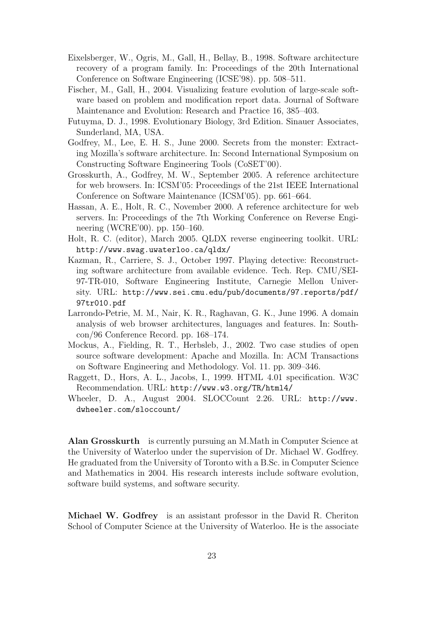- Eixelsberger, W., Ogris, M., Gall, H., Bellay, B., 1998. Software architecture recovery of a program family. In: Proceedings of the 20th International Conference on Software Engineering (ICSE'98). pp. 508–511.
- Fischer, M., Gall, H., 2004. Visualizing feature evolution of large-scale software based on problem and modification report data. Journal of Software Maintenance and Evolution: Research and Practice 16, 385–403.
- Futuyma, D. J., 1998. Evolutionary Biology, 3rd Edition. Sinauer Associates, Sunderland, MA, USA.
- Godfrey, M., Lee, E. H. S., June 2000. Secrets from the monster: Extracting Mozilla's software architecture. In: Second International Symposium on Constructing Software Engineering Tools (CoSET'00).
- Grosskurth, A., Godfrey, M. W., September 2005. A reference architecture for web browsers. In: ICSM'05: Proceedings of the 21st IEEE International Conference on Software Maintenance (ICSM'05). pp. 661–664.
- Hassan, A. E., Holt, R. C., November 2000. A reference architecture for web servers. In: Proceedings of the 7th Working Conference on Reverse Engineering (WCRE'00). pp. 150–160.
- Holt, R. C. (editor), March 2005. QLDX reverse engineering toolkit. URL: http://www.swag.uwaterloo.ca/qldx/
- Kazman, R., Carriere, S. J., October 1997. Playing detective: Reconstructing software architecture from available evidence. Tech. Rep. CMU/SEI-97-TR-010, Software Engineering Institute, Carnegie Mellon University. URL: http://www.sei.cmu.edu/pub/documents/97.reports/pdf/ 97tr010.pdf
- Larrondo-Petrie, M. M., Nair, K. R., Raghavan, G. K., June 1996. A domain analysis of web browser architectures, languages and features. In: Southcon/96 Conference Record. pp. 168–174.
- Mockus, A., Fielding, R. T., Herbsleb, J., 2002. Two case studies of open source software development: Apache and Mozilla. In: ACM Transactions on Software Engineering and Methodology. Vol. 11. pp. 309–346.
- Raggett, D., Hors, A. L., Jacobs, I., 1999. HTML 4.01 specification. W3C Recommendation. URL: http://www.w3.org/TR/html4/
- Wheeler, D. A., August 2004. SLOCCount 2.26. URL: http://www. dwheeler.com/sloccount/

Alan Grosskurth is currently pursuing an M.Math in Computer Science at the University of Waterloo under the supervision of Dr. Michael W. Godfrey. He graduated from the University of Toronto with a B.Sc. in Computer Science and Mathematics in 2004. His research interests include software evolution, software build systems, and software security.

Michael W. Godfrey is an assistant professor in the David R. Cheriton School of Computer Science at the University of Waterloo. He is the associate